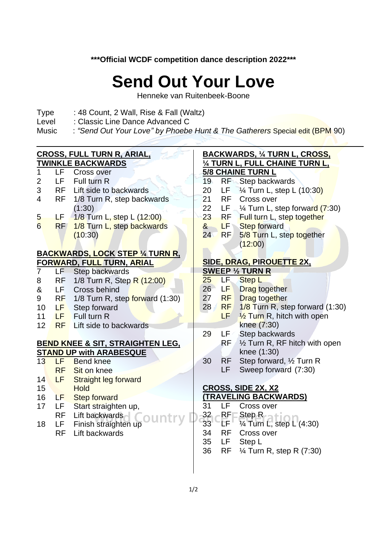**\*\*\*Official WCDF competition dance description 2022\*\*\***

## **Send Out Your Love**

Henneke van Ruitenbeek-Boone

- Type : 48 Count, 2 Wall, Rise & Fall (Waltz)
- Level : Classic Line Dance Advanced C
- Music : "Send Out Your Love" by Phoebe Hunt & The Gatherers Special edit (BPM 90)

| <b>CROSS, FULL TURN R, ARIAL,</b>           |           |                                         |                 | <b>BACKWARDS, 1/4 TURN L, CROSS,</b> |                                              |  |  |
|---------------------------------------------|-----------|-----------------------------------------|-----------------|--------------------------------------|----------------------------------------------|--|--|
| <b>TWINKLE BACKWARDS</b>                    |           |                                         |                 | 1/4 TURN L, FULL CHAINE TURN L,      |                                              |  |  |
| 1                                           |           | LF Cross over                           |                 |                                      | <b>5/8 CHAINE TURN L</b>                     |  |  |
| $\overline{2}$                              | LF -      | Full turn R                             | 19              |                                      | <b>RF</b> Step backwards                     |  |  |
| 3                                           |           | RF Lift side to backwards               | 20              | LF.                                  | 1/ <sub>4</sub> Turn L, step L (10:30)       |  |  |
| $\overline{4}$                              |           | RF 1/8 Turn R, step backwards           | 21              | <b>RF</b>                            | Cross over                                   |  |  |
|                                             |           | (1:30)                                  | 22              |                                      | LF $\frac{1}{4}$ Turn L, step forward (7:30) |  |  |
| 5                                           | LF.       | 1/8 Turn L, step L (12:00)              | 23              |                                      | RF Full turn L, step together                |  |  |
| 6                                           | RF        | 1/8 Turn L, step backwards              | $8 -$           |                                      | <b>LF</b> Step forward                       |  |  |
|                                             |           | (10:30)                                 | 24 <sup>°</sup> | <b>RF</b>                            | 5/8 Turn L, step together                    |  |  |
|                                             |           |                                         |                 |                                      | (12:00)                                      |  |  |
|                                             |           | <b>BACKWARDS, LOCK STEP 1/4 TURN R.</b> |                 |                                      |                                              |  |  |
| FORWARD, FULL TURN, ARIAL                   |           |                                         |                 | SIDE, DRAG, PIROUETTE 2X,            |                                              |  |  |
| 7                                           | LF.       | Step backwards                          |                 |                                      | <b>SWEEP 1/2 TURN R</b>                      |  |  |
| 8                                           | <b>RF</b> | 1/8 Turn R, Step R (12:00)              | 25              | LF                                   | Step L                                       |  |  |
| &                                           | LF -      | Cross behind                            | 26 <sup>2</sup> | LF                                   | Drag together                                |  |  |
| 9                                           |           | RF 1/8 Turn R, step forward (1:30)      | 27              | <b>RF</b>                            | <b>Drag together</b>                         |  |  |
| 10                                          |           | <b>LF</b> Step forward                  | 28 <sup>7</sup> | RF                                   | $1/8$ Turn R, step forward $(1:30)$          |  |  |
| 11                                          |           | LF Full turn R                          |                 | LF.                                  | 1/2 Turn R, hitch with open                  |  |  |
| 12                                          | <b>RF</b> | Lift side to backwards                  |                 |                                      | knee (7:30)                                  |  |  |
|                                             |           |                                         | 29              | $\mathsf{LF}^{[\mathcal{L}]}$        | Step backwards                               |  |  |
| <b>BEND KNEE &amp; SIT, STRAIGHTEN LEG,</b> |           |                                         |                 | RF/                                  | 1/2 Turn R, RF hitch with open               |  |  |
| <b>STAND UP with ARABESQUE</b>              |           |                                         |                 |                                      | knee (1:30)                                  |  |  |
| 13                                          | LF -      | <b>Bend knee</b>                        | 30              | <b>RF</b>                            | Step forward, 1/2 Turn R                     |  |  |
|                                             | <b>RF</b> | Sit on knee                             |                 | LF                                   | Sweep forward (7:30)                         |  |  |
| 14                                          | LF        | <b>Straight leg forward</b>             |                 |                                      |                                              |  |  |
| 15                                          |           | Hold                                    |                 |                                      | CROSS, SIDE 2X, X2                           |  |  |
| 16                                          | LF .      | <b>Step forward</b>                     |                 |                                      | <b>(TRAVELING BACKWARDS)</b>                 |  |  |
| 17                                          | LF.       | Start straighten up,                    | 31              | <b>LF</b>                            | Cross over                                   |  |  |
|                                             | <b>RF</b> | Lift backwards                          |                 | RF                                   | Step $R_{n+1}$                               |  |  |
| 18                                          | LF.       | Finish straighten up                    | 32<br>33        | ÈF                                   | 1⁄4 Turn L, step L (4:30)                    |  |  |
|                                             | <b>RF</b> | Lift backwards                          | 34              | <b>RF</b>                            | Cross over                                   |  |  |
|                                             |           |                                         | 35              | LF                                   | Step L                                       |  |  |
|                                             |           |                                         | 36              | <b>RF</b>                            | 1⁄4 Turn R, step R (7:30)                    |  |  |
|                                             |           |                                         |                 |                                      |                                              |  |  |